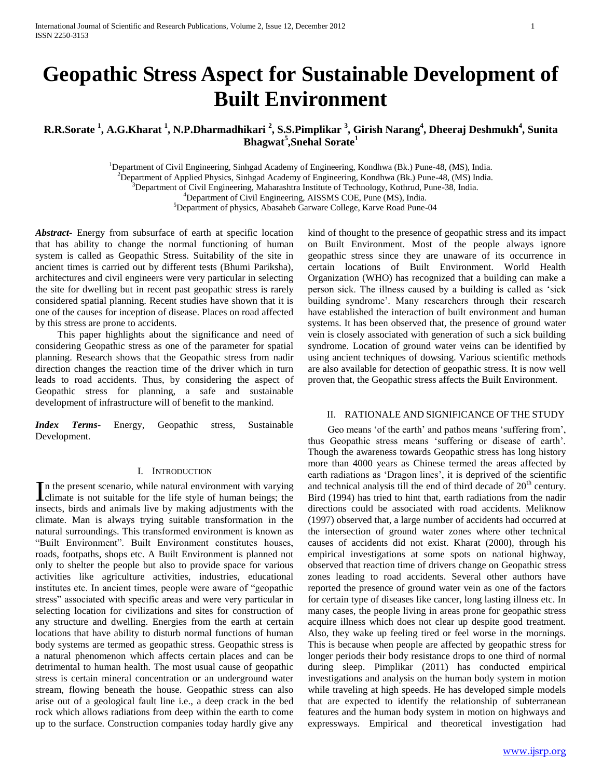# **Geopathic Stress Aspect for Sustainable Development of Built Environment**

**R.R.Sorate <sup>1</sup> , A.G.Kharat <sup>1</sup> , N.P.Dharmadhikari <sup>2</sup> , S.S.Pimplikar <sup>3</sup> , Girish Narang<sup>4</sup> , Dheeraj Deshmukh<sup>4</sup> , Sunita Bhagwat<sup>5</sup> ,Snehal Sorate<sup>1</sup>**

> <sup>1</sup>Department of Civil Engineering, Sinhgad Academy of Engineering, Kondhwa (Bk.) Pune-48, (MS), India. <sup>2</sup>Department of Applied Physics, Sinhgad Academy of Engineering, Kondhwa (Bk.) Pune-48, (MS) India. <sup>3</sup>Department of Civil Engineering, Maharashtra Institute of Technology, Kothrud, Pune-38, India. <sup>4</sup>Department of Civil Engineering, AISSMS COE, Pune (MS), India. <sup>5</sup>Department of physics, Abasaheb Garware College, Karve Road Pune-04

*Abstract***-** Energy from subsurface of earth at specific location that has ability to change the normal functioning of human system is called as Geopathic Stress. Suitability of the site in ancient times is carried out by different tests (Bhumi Pariksha), architectures and civil engineers were very particular in selecting the site for dwelling but in recent past geopathic stress is rarely considered spatial planning. Recent studies have shown that it is one of the causes for inception of disease. Places on road affected by this stress are prone to accidents.

 This paper highlights about the significance and need of considering Geopathic stress as one of the parameter for spatial planning. Research shows that the Geopathic stress from nadir direction changes the reaction time of the driver which in turn leads to road accidents. Thus, by considering the aspect of Geopathic stress for planning, a safe and sustainable development of infrastructure will of benefit to the mankind.

*Index Terms*- Energy, Geopathic stress, Sustainable Development.

## I. INTRODUCTION

n the present scenario, while natural environment with varying In the present scenario, while natural environment with varying<br>climate is not suitable for the life style of human beings; the insects, birds and animals live by making adjustments with the climate. Man is always trying suitable transformation in the natural surroundings. This transformed environment is known as "Built Environment". Built Environment constitutes houses, roads, footpaths, shops etc. A Built Environment is planned not only to shelter the people but also to provide space for various activities like agriculture activities, industries, educational institutes etc. In ancient times, people were aware of "geopathic stress" associated with specific areas and were very particular in selecting location for civilizations and sites for construction of any structure and dwelling. Energies from the earth at certain locations that have ability to disturb normal functions of human body systems are termed as geopathic stress. Geopathic stress is a natural phenomenon which affects certain places and can be detrimental to human health. The most usual cause of geopathic stress is certain mineral concentration or an underground water stream, flowing beneath the house. Geopathic stress can also arise out of a geological fault line i.e., a deep crack in the bed rock which allows radiations from deep within the earth to come up to the surface. Construction companies today hardly give any

kind of thought to the presence of geopathic stress and its impact on Built Environment. Most of the people always ignore geopathic stress since they are unaware of its occurrence in certain locations of Built Environment. World Health Organization (WHO) has recognized that a building can make a person sick. The illness caused by a building is called as 'sick building syndrome'. Many researchers through their research have established the interaction of built environment and human systems. It has been observed that, the presence of ground water vein is closely associated with generation of such a sick building syndrome. Location of ground water veins can be identified by using ancient techniques of dowsing. Various scientific methods are also available for detection of geopathic stress. It is now well proven that, the Geopathic stress affects the Built Environment.

#### II. RATIONALE AND SIGNIFICANCE OF THE STUDY

 Geo means 'of the earth' and pathos means 'suffering from', thus Geopathic stress means 'suffering or disease of earth'. Though the awareness towards Geopathic stress has long history more than 4000 years as Chinese termed the areas affected by earth radiations as 'Dragon lines', it is deprived of the scientific and technical analysis till the end of third decade of  $20<sup>th</sup>$  century. Bird (1994) has tried to hint that, earth radiations from the nadir directions could be associated with road accidents. Meliknow (1997) observed that, a large number of accidents had occurred at the intersection of ground water zones where other technical causes of accidents did not exist. Kharat (2000), through his empirical investigations at some spots on national highway, observed that reaction time of drivers change on Geopathic stress zones leading to road accidents. Several other authors have reported the presence of ground water vein as one of the factors for certain type of diseases like cancer, long lasting illness etc. In many cases, the people living in areas prone for geopathic stress acquire illness which does not clear up despite good treatment. Also, they wake up feeling tired or feel worse in the mornings. This is because when people are affected by geopathic stress for longer periods their body resistance drops to one third of normal during sleep. Pimplikar (2011) has conducted empirical investigations and analysis on the human body system in motion while traveling at high speeds. He has developed simple models that are expected to identify the relationship of subterranean features and the human body system in motion on highways and expressways. Empirical and theoretical investigation had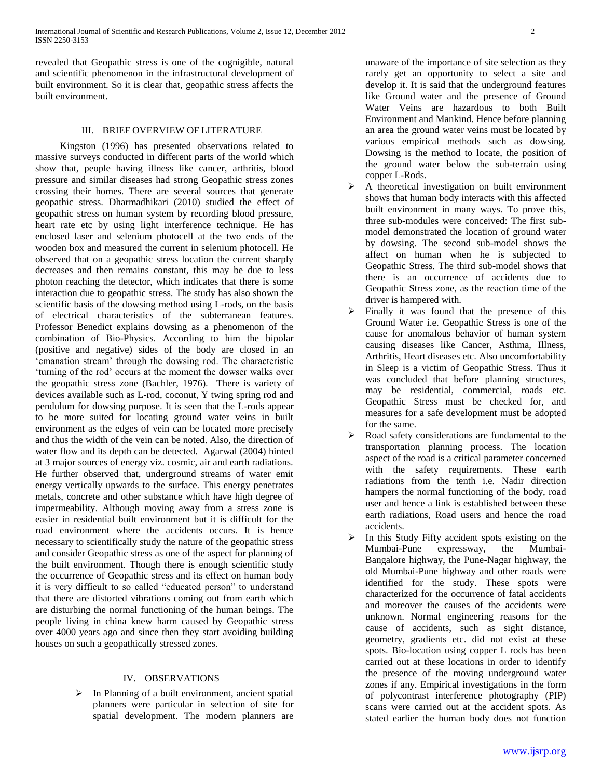revealed that Geopathic stress is one of the cognigible, natural and scientific phenomenon in the infrastructural development of built environment. So it is clear that, geopathic stress affects the built environment.

## III. BRIEF OVERVIEW OF LITERATURE

Kingston (1996) has presented observations related to massive surveys conducted in different parts of the world which show that, people having illness like cancer, arthritis, blood pressure and similar diseases had strong Geopathic stress zones crossing their homes. There are several sources that generate geopathic stress. Dharmadhikari (2010) studied the effect of geopathic stress on human system by recording blood pressure, heart rate etc by using light interference technique. He has enclosed laser and selenium photocell at the two ends of the wooden box and measured the current in selenium photocell. He observed that on a geopathic stress location the current sharply decreases and then remains constant, this may be due to less photon reaching the detector, which indicates that there is some interaction due to geopathic stress. The study has also shown the scientific basis of the dowsing method using L-rods, on the basis of electrical characteristics of the subterranean features. Professor Benedict explains dowsing as a phenomenon of the combination of Bio-Physics. According to him the bipolar (positive and negative) sides of the body are closed in an 'emanation stream' through the dowsing rod. The characteristic 'turning of the rod' occurs at the moment the dowser walks over the geopathic stress zone (Bachler, 1976). There is variety of devices available such as L-rod, coconut, Y twing spring rod and pendulum for dowsing purpose. It is seen that the L-rods appear to be more suited for locating ground water veins in built environment as the edges of vein can be located more precisely and thus the width of the vein can be noted. Also, the direction of water flow and its depth can be detected. Agarwal (2004) hinted at 3 major sources of energy viz. cosmic, air and earth radiations. He further observed that, underground streams of water emit energy vertically upwards to the surface. This energy penetrates metals, concrete and other substance which have high degree of impermeability. Although moving away from a stress zone is easier in residential built environment but it is difficult for the road environment where the accidents occurs. It is hence necessary to scientifically study the nature of the geopathic stress and consider Geopathic stress as one of the aspect for planning of the built environment. Though there is enough scientific study the occurrence of Geopathic stress and its effect on human body it is very difficult to so called "educated person" to understand that there are distorted vibrations coming out from earth which are disturbing the normal functioning of the human beings. The people living in china knew harm caused by Geopathic stress over 4000 years ago and since then they start avoiding building houses on such a geopathically stressed zones.

### IV. OBSERVATIONS

 In Planning of a built environment, ancient spatial planners were particular in selection of site for spatial development. The modern planners are

unaware of the importance of site selection as they rarely get an opportunity to select a site and develop it. It is said that the underground features like Ground water and the presence of Ground Water Veins are hazardous to both Built Environment and Mankind. Hence before planning an area the ground water veins must be located by various empirical methods such as dowsing. Dowsing is the method to locate, the position of the ground water below the sub-terrain using copper L-Rods.

- $\triangleright$  A theoretical investigation on built environment shows that human body interacts with this affected built environment in many ways. To prove this, three sub-modules were conceived: The first submodel demonstrated the location of ground water by dowsing. The second sub-model shows the affect on human when he is subjected to Geopathic Stress. The third sub-model shows that there is an occurrence of accidents due to Geopathic Stress zone, as the reaction time of the driver is hampered with.
- $\triangleright$  Finally it was found that the presence of this Ground Water i.e. Geopathic Stress is one of the cause for anomalous behavior of human system causing diseases like Cancer, Asthma, Illness, Arthritis, Heart diseases etc. Also uncomfortability in Sleep is a victim of Geopathic Stress. Thus it was concluded that before planning structures, may be residential, commercial, roads etc. Geopathic Stress must be checked for, and measures for a safe development must be adopted for the same.
- $\triangleright$  Road safety considerations are fundamental to the transportation planning process. The location aspect of the road is a critical parameter concerned with the safety requirements. These earth radiations from the tenth i.e. Nadir direction hampers the normal functioning of the body, road user and hence a link is established between these earth radiations, Road users and hence the road accidents.
- In this Study Fifty accident spots existing on the Mumbai-Pune expressway, the Mumbai-Bangalore highway, the Pune-Nagar highway, the old Mumbai-Pune highway and other roads were identified for the study. These spots were characterized for the occurrence of fatal accidents and moreover the causes of the accidents were unknown. Normal engineering reasons for the cause of accidents, such as sight distance, geometry, gradients etc. did not exist at these spots. Bio-location using copper L rods has been carried out at these locations in order to identify the presence of the moving underground water zones if any. Empirical investigations in the form of polycontrast interference photography (PIP) scans were carried out at the accident spots. As stated earlier the human body does not function